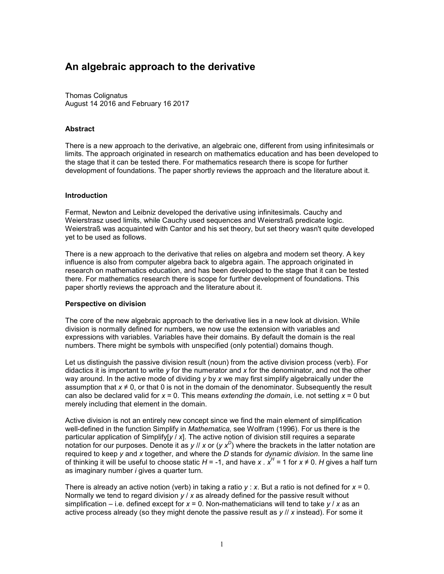# **An algebraic approach to the derivative**

Thomas Colignatus August 14 2016 and February 16 2017

#### **Abstract**

There is a new approach to the derivative, an algebraic one, different from using infinitesimals or limits. The approach originated in research on mathematics education and has been developed to the stage that it can be tested there. For mathematics research there is scope for further development of foundations. The paper shortly reviews the approach and the literature about it.

#### **Introduction**

Fermat, Newton and Leibniz developed the derivative using infinitesimals. Cauchy and Weierstrasz used limits, while Cauchy used sequences and Weierstraß predicate logic. Weierstraß was acquainted with Cantor and his set theory, but set theory wasn't quite developed yet to be used as follows.

There is a new approach to the derivative that relies on algebra and modern set theory. A key influence is also from computer algebra back to algebra again. The approach originated in research on mathematics education, and has been developed to the stage that it can be tested there. For mathematics research there is scope for further development of foundations. This paper shortly reviews the approach and the literature about it.

#### **Perspective on division**

The core of the new algebraic approach to the derivative lies in a new look at division. While division is normally defined for numbers, we now use the extension with variables and expressions with variables. Variables have their domains. By default the domain is the real numbers. There might be symbols with unspecified (only potential) domains though.

Let us distinguish the passive division result (noun) from the active division process (verb). For didactics it is important to write *y* for the numerator and *x* for the denominator, and not the other way around. In the active mode of dividing *y* by *x* we may first simplify algebraically under the assumption that  $x \neq 0$ , or that 0 is not in the domain of the denominator. Subsequently the result can also be declared valid for *x* = 0. This means *extending the domain*, i.e. not setting *x* = 0 but merely including that element in the domain.

Active division is not an entirely new concept since we find the main element of simplification well-defined in the function Simplify in *Mathematica,* see Wolfram (1996). For us there is the particular application of Simplify[*y* / *x*]. The active notion of division still requires a separate notation for our purposes. Denote it as *y* // *x* or (*y x<sup>D</sup>* ) where the brackets in the latter notation are required to keep *y* and *x* together, and where the *D* stands for *dynamic division*. In the same line of thinking it will be useful to choose static  $H = -1$ , and have *x* .  $x^H = 1$  for  $x \ne 0$ . H gives a half turn as imaginary number *i* gives a quarter turn.

There is already an active notion (verb) in taking a ratio *y* : *x*. But a ratio is not defined for *x* = 0. Normally we tend to regard division *y* / *x* as already defined for the passive result without simplification – i.e. defined except for *x* = 0. Non-mathematicians will tend to take *y* / *x* as an active process already (so they might denote the passive result as *y* // *x* instead). For some it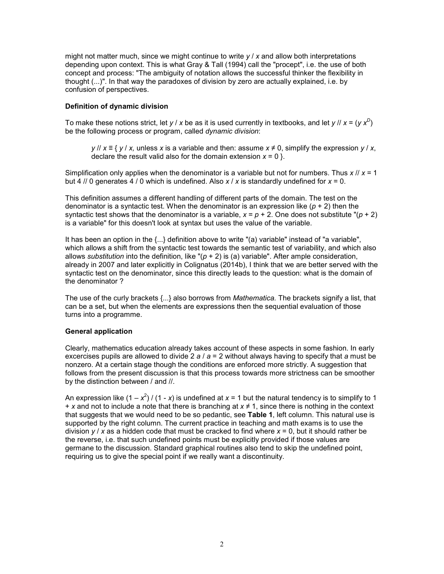might not matter much, since we might continue to write *y* / *x* and allow both interpretations depending upon context. This is what Gray & Tall (1994) call the "procept", i.e. the use of both concept and process: "The ambiguity of notation allows the successful thinker the flexibility in thought (...)". In that way the paradoxes of division by zero are actually explained, i.e. by confusion of perspectives.

# **Definition of dynamic division**

To make these notions strict, let *y* / *x* be as it is used currently in textbooks, and let *y* // *x* = (*y x<sup>D</sup>* ) be the following process or program, called *dynamic division*:

*y* // *x* ≡ { *y* / *x,* unless *x* is a variable and then: assume *x* ≠ 0, simplify the expression *y* / *x*, declare the result valid also for the domain extension  $x = 0$  }.

Simplification only applies when the denominator is a variable but not for numbers. Thus *x* // *x* = 1 but 4 // 0 generates 4 / 0 which is undefined. Also *x* / *x* is standardly undefined for *x* = 0.

This definition assumes a different handling of different parts of the domain. The test on the denominator is a syntactic test. When the denominator is an expression like (*p* + 2) then the syntactic test shows that the denominator is a variable,  $x = p + 2$ . One does not substitute " $(p + 2)$ " is a variable" for this doesn't look at syntax but uses the value of the variable.

It has been an option in the  $\{...\}$  definition above to write "(a) variable" instead of "a variable", which allows a shift from the syntactic test towards the semantic test of variability, and which also allows *substitution* into the definition, like "(*p* + 2) is (a) variable". After ample consideration, already in 2007 and later explicitly in Colignatus (2014b), I think that we are better served with the syntactic test on the denominator, since this directly leads to the question: what is the domain of the denominator ?

The use of the curly brackets {...} also borrows from *Mathematica.* The brackets signify a list, that can be a set, but when the elements are expressions then the sequential evaluation of those turns into a programme.

### **General application**

Clearly, mathematics education already takes account of these aspects in some fashion. In early excercises pupils are allowed to divide 2 *a* / *a* = 2 without always having to specify that *a* must be nonzero. At a certain stage though the conditions are enforced more strictly. A suggestion that follows from the present discussion is that this process towards more strictness can be smoother by the distinction between / and //.

An expression like (1 –  $x^2$ ) / (1 - *x*) is undefined at *x* = 1 but the natural tendency is to simplify to 1 + *x* and not to include a note that there is branching at *x* ≠ 1, since there is nothing in the context that suggests that we would need to be so pedantic, see **Table 1**, left column. This natural use is supported by the right column. The current practice in teaching and math exams is to use the division *y* / *x* as a hidden code that must be cracked to find where *x* = 0, but it should rather be the reverse, i.e. that such undefined points must be explicitly provided if those values are germane to the discussion. Standard graphical routines also tend to skip the undefined point, requiring us to give the special point if we really want a discontinuity.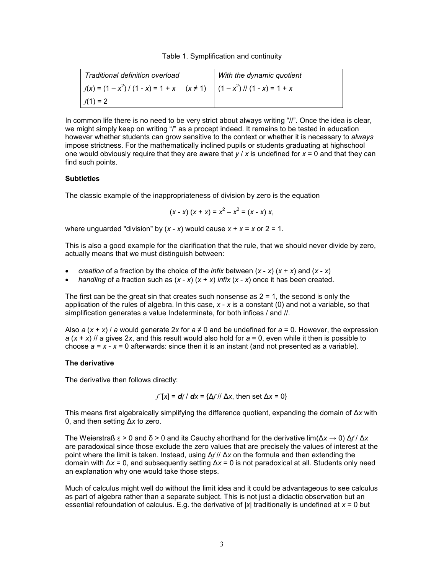#### Table 1. Symplification and continuity

| Traditional definition overload                                                        | With the dynamic quotient |
|----------------------------------------------------------------------------------------|---------------------------|
| $f(x) = (1 - x^2) / (1 - x) = 1 + x \quad (x \ne 1) \quad (1 - x^2) / (1 - x) = 1 + x$ |                           |
| $f(1) = 2$                                                                             |                           |

In common life there is no need to be very strict about always writing "//". Once the idea is clear, we might simply keep on writing "/" as a procept indeed. It remains to be tested in education however whether students can grow sensitive to the context or whether it is necessary to *always* impose strictness. For the mathematically inclined pupils or students graduating at highschool one would obviously require that they are aware that  $y / x$  is undefined for  $x = 0$  and that they can find such points.

#### **Subtleties**

The classic example of the inappropriateness of division by zero is the equation

$$
(x - x) (x + x) = x2 - x2 = (x - x) x,
$$

where unguarded "division" by  $(x - x)$  would cause  $x + x = x$  or  $2 = 1$ .

This is also a good example for the clarification that the rule, that we should never divide by zero, actually means that we must distinguish between:

- *creation* of a fraction by the choice of the *infix* between (*x x*) (*x* + *x*) and (*x x*)
- *handling* of a fraction such as (*x x*) (*x* + *x*) *infix* (*x x*) once it has been created.

The first can be the great sin that creates such nonsense as  $2 = 1$ , the second is only the application of the rules of algebra. In this case, *x* - *x* is a constant (0) and not a variable, so that simplification generates a value Indeterminate, for both infices / and //.

Also *a* ( $x + x$ ) *a* would generate 2x for  $a \neq 0$  and be undefined for  $a = 0$ . However, the expression *a* (*x* + *x*) // *a* gives 2*x*, and this result would also hold for *a* = 0, even while it then is possible to choose *a* = *x* - *x* = 0 afterwards: since then it is an instant (and not presented as a variable).

#### **The derivative**

The derivative then follows directly:

$$
f'[x] = df/dx = {\Delta f || \Delta x}
$$
, then set  $\Delta x = 0$ }

This means first algebraically simplifying the difference quotient, expanding the domain of Δ*x* with 0, and then setting Δ*x* to zero.

The Weierstraß  $\epsilon > 0$  and  $\delta > 0$  and its Cauchy shorthand for the derivative lim( $\Delta x \to 0$ )  $\Delta f / \Delta x$ are paradoxical since those exclude the zero values that are precisely the values of interest at the point where the limit is taken. Instead, using Δ*f* // Δ*x* on the formula and then extending the domain with Δ*x* = 0, and subsequently setting Δ*x* = 0 is not paradoxical at all. Students only need an explanation why one would take those steps.

Much of calculus might well do without the limit idea and it could be advantageous to see calculus as part of algebra rather than a separate subject. This is not just a didactic observation but an essential refoundation of calculus. E.g. the derivative of |*x*| traditionally is undefined at *x* = 0 but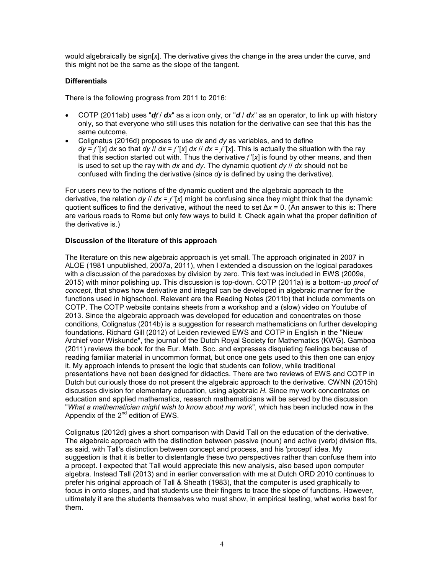would algebraically be sign[*x*]. The derivative gives the change in the area under the curve, and this might not be the same as the slope of the tangent.

# **Differentials**

There is the following progress from 2011 to 2016:

- COTP (2011ab) uses " $df/dx$ " as a icon only, or " $d/dx$ " as an operator, to link up with history only, so that everyone who still uses this notation for the derivative can see that this has the same outcome,
- Colignatus (2016d) proposes to use *dx* and *dy* as variables, and to define  $d\mathbf{v} = f'[\mathbf{x}] d\mathbf{x}$  so that  $d\mathbf{v}$  //  $d\mathbf{x} = f'[\mathbf{x}] d\mathbf{x}$  //  $d\mathbf{x} = f'[\mathbf{x}]$ . This is actually the situation with the ray that this section started out with. Thus the derivative *f* '[*x*] is found by other means, and then is used to set up the ray with *dx* and *dy.* The dynamic quotient *dy* // *dx* should not be confused with finding the derivative (since *dy* is defined by using the derivative).

For users new to the notions of the dynamic quotient and the algebraic approach to the derivative, the relation *dy*  $\frac{1}{d}$  *dx* =  $f'[x]$  might be confusing since they might think that the dynamic quotient suffices to find the derivative, without the need to set Δ*x* = 0. (An answer to this is: There are various roads to Rome but only few ways to build it. Check again what the proper definition of the derivative is.)

## **Discussion of the literature of this approach**

The literature on this new algebraic approach is yet small. The approach originated in 2007 in ALOE (1981 unpublished, 2007a, 2011), when I extended a discussion on the logical paradoxes with a discussion of the paradoxes by division by zero. This text was included in EWS (2009a, 2015) with minor polishing up. This discussion is top-down. COTP (2011a) is a bottom-up *proof of concept,* that shows how derivative and integral can be developed in algebraic manner for the functions used in highschool. Relevant are the Reading Notes (2011b) that include comments on COTP. The COTP website contains sheets from a workshop and a (slow) video on Youtube of 2013. Since the algebraic approach was developed for education and concentrates on those conditions, Colignatus (2014b) is a suggestion for research mathematicians on further developing foundations. Richard Gill (2012) of Leiden reviewed EWS and COTP in English in the "Nieuw Archief voor Wiskunde", the journal of the Dutch Royal Society for Mathematics (KWG). Gamboa (2011) reviews the book for the Eur. Math. Soc. and expresses disquieting feelings because of reading familiar material in uncommon format, but once one gets used to this then one can enjoy it. My approach intends to present the logic that students can follow, while traditional presentations have not been designed for didactics. There are two reviews of EWS and COTP in Dutch but curiously those do not present the algebraic approach to the derivative. CWNN (2015h) discusses division for elementary education, using algebraic *H.* Since my work concentrates on education and applied mathematics, research mathematicians will be served by the discussion "*What a mathematician might wish to know about my work*", which has been included now in the Appendix of the  $2^{nd}$  edition of EWS.

Colignatus (2012d) gives a short comparison with David Tall on the education of the derivative. The algebraic approach with the distinction between passive (noun) and active (verb) division fits, as said, with Tall's distinction between concept and process, and his 'procept' idea. My suggestion is that it is better to distentangle these two perspectives rather than confuse them into a procept. I expected that Tall would appreciate this new analysis, also based upon computer algebra. Instead Tall (2013) and in earlier conversation with me at Dutch ORD 2010 continues to prefer his original approach of Tall & Sheath (1983), that the computer is used graphically to focus in onto slopes, and that students use their fingers to trace the slope of functions. However, ultimately it are the students themselves who must show, in empirical testing, what works best for them.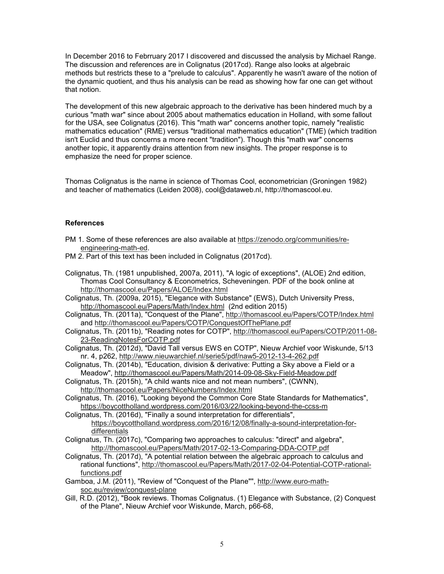In December 2016 to Febrruary 2017 I discovered and discussed the analysis by Michael Range. The discussion and references are in Colignatus (2017cd). Range also looks at algebraic methods but restricts these to a "prelude to calculus". Apparently he wasn't aware of the notion of the dynamic quotient, and thus his analysis can be read as showing how far one can get without that notion.

The development of this new algebraic approach to the derivative has been hindered much by a curious "math war" since about 2005 about mathematics education in Holland, with some fallout for the USA, see Colignatus (2016). This "math war" concerns another topic, namely "realistic mathematics education" (RME) versus "traditional mathematics education" (TME) (which tradition isn't Euclid and thus concerns a more recent "tradition"). Though this "math war" concerns another topic, it apparently drains attention from new insights. The proper response is to emphasize the need for proper science.

Thomas Colignatus is the name in science of Thomas Cool, econometrician (Groningen 1982) and teacher of mathematics (Leiden 2008), cool@dataweb.nl, http://thomascool.eu.

## **References**

- PM 1. Some of these references are also available at https://zenodo.org/communities/reengineering-math-ed.
- PM 2. Part of this text has been included in Colignatus (2017cd).

Colignatus, Th. (1981 unpublished, 2007a, 2011), "A logic of exceptions", (ALOE) 2nd edition, Thomas Cool Consultancy & Econometrics, Scheveningen. PDF of the book online at http://thomascool.eu/Papers/ALOE/Index.html

Colignatus, Th. (2009a, 2015), "Elegance with Substance" (EWS), Dutch University Press, http://thomascool.eu/Papers/Math/Index.html (2nd edition 2015)

Colignatus, Th. (2011a), "Conquest of the Plane", http://thomascool.eu/Papers/COTP/Index.html and http://thomascool.eu/Papers/COTP/ConquestOfThePlane.pdf

Colignatus, Th. (2011b), "Reading notes for COTP", http://thomascool.eu/Papers/COTP/2011-08- 23-ReadingNotesForCOTP.pdf

Colignatus, Th. (2012d), "David Tall versus EWS en COTP", Nieuw Archief voor Wiskunde, 5/13 nr. 4, p262, http://www.nieuwarchief.nl/serie5/pdf/naw5-2012-13-4-262.pdf

Colignatus, Th. (2014b), "Education, division & derivative: Putting a Sky above a Field or a Meadow", http://thomascool.eu/Papers/Math/2014-09-08-Sky-Field-Meadow.pdf

Colignatus, Th. (2015h), "A child wants nice and not mean numbers", (CWNN), http://thomascool.eu/Papers/NiceNumbers/Index.html

Colignatus, Th. (2016), "Looking beyond the Common Core State Standards for Mathematics", https://boycottholland.wordpress.com/2016/03/22/looking-beyond-the-ccss-m

Colignatus, Th. (2016d), "Finally a sound interpretation for differentials", https://boycottholland.wordpress.com/2016/12/08/finally-a-sound-interpretation-fordifferentials

Colignatus, Th. (2017c), "Comparing two approaches to calculus: "direct" and algebra", http://thomascool.eu/Papers/Math/2017-02-13-Comparing-DDA-COTP.pdf

Colignatus, Th. (2017d), "A potential relation between the algebraic approach to calculus and rational functions", http://thomascool.eu/Papers/Math/2017-02-04-Potential-COTP-rationalfunctions.pdf

Gamboa, J.M. (2011), "Review of "Conquest of the Plane"", http://www.euro-mathsoc.eu/review/conquest-plane

Gill, R.D. (2012), "Book reviews. Thomas Colignatus. (1) Elegance with Substance, (2) Conquest of the Plane", Nieuw Archief voor Wiskunde, March, p66-68,